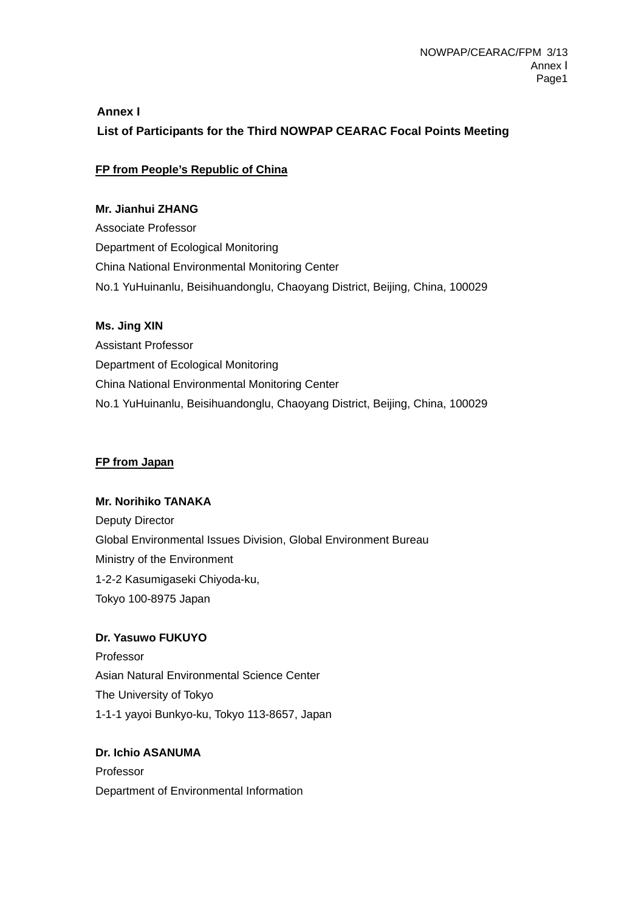# **Annex I List of Participants for the Third NOWPAP CEARAC Focal Points Meeting**

# **FP from People's Republic of China**

#### **Mr. Jianhui ZHANG**

Associate Professor Department of Ecological Monitoring China National Environmental Monitoring Center No.1 YuHuinanlu, Beisihuandonglu, Chaoyang District, Beijing, China, 100029

#### **Ms. Jing XIN**

Assistant Professor Department of Ecological Monitoring China National Environmental Monitoring Center No.1 YuHuinanlu, Beisihuandonglu, Chaoyang District, Beijing, China, 100029

#### **FP from Japan**

## **Mr. Norihiko TANAKA**

Deputy Director Global Environmental Issues Division, Global Environment Bureau Ministry of the Environment 1-2-2 Kasumigaseki Chiyoda-ku, Tokyo 100-8975 Japan

## **Dr. Yasuwo FUKUYO**

Professor Asian Natural Environmental Science Center The University of Tokyo 1-1-1 yayoi Bunkyo-ku, Tokyo 113-8657, Japan

# **Dr. Ichio ASANUMA**  Professor Department of Environmental Information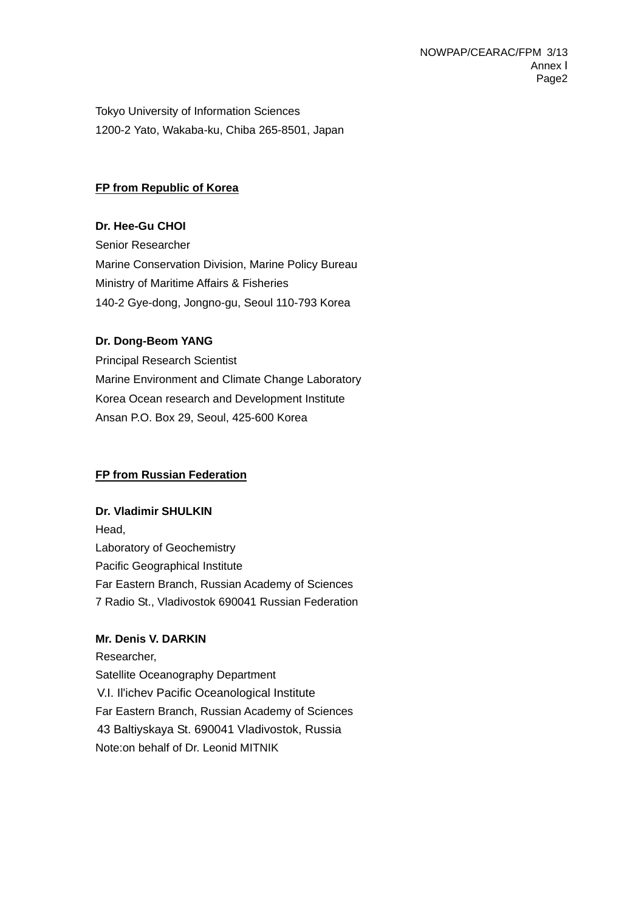Tokyo University of Information Sciences 1200-2 Yato, Wakaba-ku, Chiba 265-8501, Japan

#### **FP from Republic of Korea**

**Dr. Hee-Gu CHOI**  Senior Researcher Marine Conservation Division, Marine Policy Bureau Ministry of Maritime Affairs & Fisheries 140-2 Gye-dong, Jongno-gu, Seoul 110-793 Korea

#### **Dr. Dong-Beom YANG**

Principal Research Scientist Marine Environment and Climate Change Laboratory Korea Ocean research and Development Institute Ansan P.O. Box 29, Seoul, 425-600 Korea

## **FP from Russian Federation**

#### **Dr. Vladimir SHULKIN**

Head, Laboratory of Geochemistry Pacific Geographical Institute Far Eastern Branch, Russian Academy of Sciences 7 Radio St., Vladivostok 690041 Russian Federation

#### **Mr. Denis V. DARKIN**

 Researcher, Satellite Oceanography Department V.I. Il'ichev Pacific Oceanological Institute Far Eastern Branch, Russian Academy of Sciences 43 Baltiyskaya St. 690041 Vladivostok, Russia Note:on behalf of Dr. Leonid MITNIK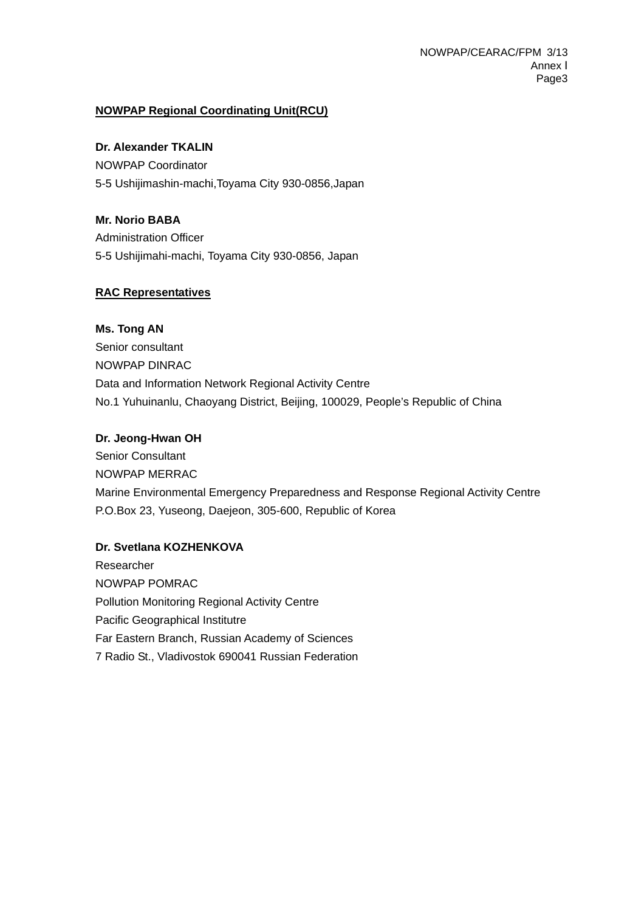# **NOWPAP Regional Coordinating Unit(RCU)**

#### **Dr. Alexander TKALIN**

NOWPAP Coordinator 5-5 Ushijimashin-machi,Toyama City 930-0856,Japan

**Mr. Norio BABA**  Administration Officer

5-5 Ushijimahi-machi, Toyama City 930-0856, Japan

# **RAC Representatives**

## **Ms. Tong AN**

Senior consultant NOWPAP DINRAC Data and Information Network Regional Activity Centre No.1 Yuhuinanlu, Chaoyang District, Beijing, 100029, People's Republic of China

## **Dr. Jeong-Hwan OH**

Senior Consultant NOWPAP MERRAC Marine Environmental Emergency Preparedness and Response Regional Activity Centre P.O.Box 23, Yuseong, Daejeon, 305-600, Republic of Korea

# **Dr. Svetlana KOZHENKOVA**

Researcher NOWPAP POMRAC Pollution Monitoring Regional Activity Centre Pacific Geographical Institutre Far Eastern Branch, Russian Academy of Sciences 7 Radio St., Vladivostok 690041 Russian Federation